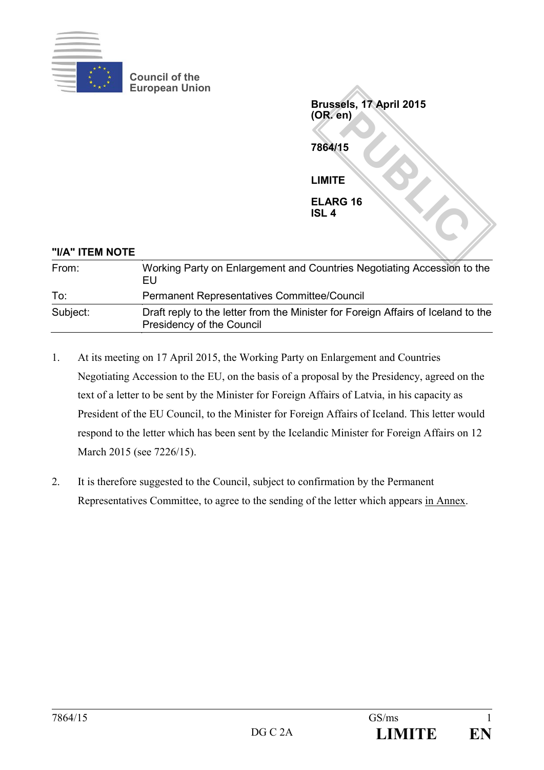

**Council of the European Union**

**PUBLIC Brussels, 17 April 2015 (OR. en) 7864/15 LIMITE ELARG 16 ISL 4**

| "I/A" ITEM NOTE |                                                                                                                |
|-----------------|----------------------------------------------------------------------------------------------------------------|
| From:           | Working Party on Enlargement and Countries Negotiating Accession to the<br>EU                                  |
| To:             | <b>Permanent Representatives Committee/Council</b>                                                             |
| Subject:        | Draft reply to the letter from the Minister for Foreign Affairs of Iceland to the<br>Presidency of the Council |

- 1. At its meeting on 17 April 2015, the Working Party on Enlargement and Countries Negotiating Accession to the EU, on the basis of a proposal by the Presidency, agreed on the text of a letter to be sent by the Minister for Foreign Affairs of Latvia, in his capacity as President of the EU Council, to the Minister for Foreign Affairs of Iceland. This letter would respond to the letter which has been sent by the Icelandic Minister for Foreign Affairs on 12 March 2015 (see 7226/15).
- 2. It is therefore suggested to the Council, subject to confirmation by the Permanent Representatives Committee, to agree to the sending of the letter which appears in Annex.